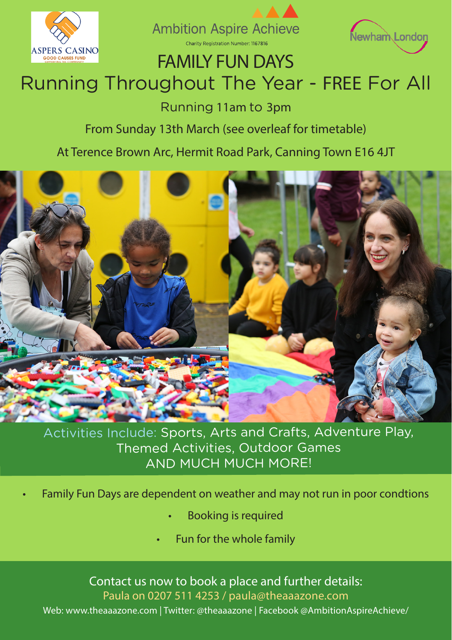





## FAMILY FUN DAYS

# Running Throughout The Year - FREE For All

Running 11am to 3pm

#### From Sunday 13th March (see overleaf for timetable)

#### At Terence Brown Arc, Hermit Road Park, Canning Town E16 4JT



Activities Include: Sports, Arts and Crafts, Adventure Play, Themed Activities, Outdoor Games AND MUCH MUCH MORE!

- Family Fun Days are dependent on weather and may not run in poor condtions
	- Booking is required
	- Fun for the whole family

Contact us now to book a place and further details: Paula on 0207 511 4253 / paula@theaaazone.com Web: www.theaaazone.com | Twitter: @theaaazone | Facebook @AmbitionAspireAchieve/